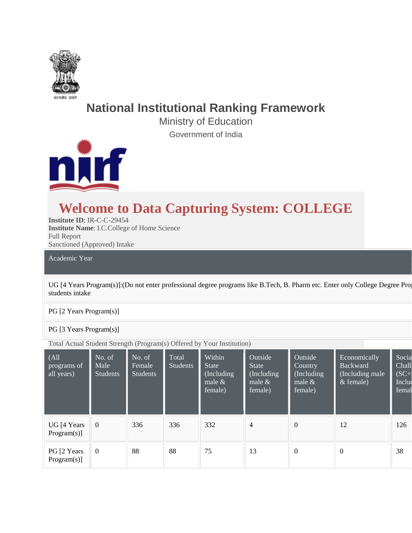

# **National Institutional Ranking Framework**

Ministry of Education Government of India



# **Welcome to Data Capturing System: COLLEGE**

**Institute ID**: IR-C-C-29454 **Institute Name**: I.C.College of Home Science Full Report Sanctioned (Approved) Intake

Academic Year

UG [4 Years Program(s)]:(Do not enter professional degree programs like B.Tech, B. Pharm etc. Enter only College Degree Pro students intake

#### PG [2 Years Program(s)]

#### PG [3 Years Program(s)]

Total Actual Student Strength (Program(s) Offered by Your Institution)

| $ $ (All<br>programs of<br>all years) | No. of<br>Male<br>Students | No. of<br>Female<br><b>Students</b> | Total<br><b>Students</b> | Within<br><b>State</b><br>(Including<br>male $\&$<br>female) | Outside<br><b>State</b><br>(Including<br>male $\&$<br>female) | Outside<br>Country<br>(Including)<br>male $\&$<br>female) | Economically<br><b>Backward</b><br>(Including male<br>$&$ female) | Socia<br>Chall<br>$(SC+$<br>Includ<br>femal |
|---------------------------------------|----------------------------|-------------------------------------|--------------------------|--------------------------------------------------------------|---------------------------------------------------------------|-----------------------------------------------------------|-------------------------------------------------------------------|---------------------------------------------|
| UG [4 Years]<br>Program(s)]           | $\overline{0}$             | 336                                 | 336                      | 332                                                          | $\overline{4}$                                                | $\boldsymbol{0}$                                          | 12                                                                | 126                                         |
| PG [2 Years]<br>Program(s)]           | $\overline{0}$             | 88                                  | 88                       | 75                                                           | 13                                                            | $\mathbf{0}$                                              | $\boldsymbol{0}$                                                  | 38                                          |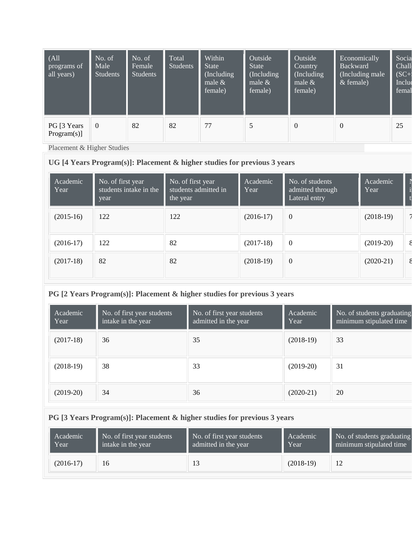| $ $ (All<br>programs of<br>all years) | No. of<br>Male<br><b>Students</b> | No. of<br>Female<br><b>Students</b> | Total<br><b>Students</b> | Within<br><b>State</b><br>(Including)<br>male $&$<br>female) | Outside<br><b>State</b><br>(Including)<br>male $\&$<br>female) | Outside<br>Country<br>(Including)<br>male $&$<br>female) | Economically<br><b>Backward</b><br>(Including male)<br>$&$ female) | Socia<br>Chall<br>$(SC+)$<br>Includ<br>femal |
|---------------------------------------|-----------------------------------|-------------------------------------|--------------------------|--------------------------------------------------------------|----------------------------------------------------------------|----------------------------------------------------------|--------------------------------------------------------------------|----------------------------------------------|
| PG [3 Years]<br>Program(s)]           | $\Omega$                          | 82                                  | 82                       | 77                                                           | 5                                                              | $\theta$                                                 | $\overline{0}$                                                     | 25                                           |

Placement & Higher Studies

### **UG [4 Years Program(s)]: Placement & higher studies for previous 3 years**

| Academic<br>Year | No. of first year<br>students intake in the<br>year | No. of first year<br>students admitted in<br>the year | Academic<br>Year | No. of students<br>admitted through<br>Lateral entry | Academic<br>Year |  |
|------------------|-----------------------------------------------------|-------------------------------------------------------|------------------|------------------------------------------------------|------------------|--|
| $(2015-16)$      | 122                                                 | 122                                                   | $(2016-17)$      | $\overline{0}$                                       | $(2018-19)$      |  |
| $(2016-17)$      | 122                                                 | 82                                                    | $(2017-18)$      | $\boldsymbol{0}$                                     | $(2019-20)$      |  |
| $(2017-18)$      | 82                                                  | 82                                                    | $(2018-19)$      | $\overline{0}$                                       | $(2020-21)$      |  |

## **PG [2 Years Program(s)]: Placement & higher studies for previous 3 years**

| Academic<br>Year | No. of first year students<br>intake in the year | No. of first year students<br>admitted in the year | Academic<br>Year | No. of students graduating<br>minimum stipulated time |
|------------------|--------------------------------------------------|----------------------------------------------------|------------------|-------------------------------------------------------|
| $(2017-18)$      | 36                                               | 35                                                 | $(2018-19)$      | 33                                                    |
| $(2018-19)$      | 38                                               | 33                                                 | $(2019-20)$      | 31                                                    |
| $(2019-20)$      | 34                                               | 36                                                 | $(2020-21)$      | 20                                                    |

### **PG [3 Years Program(s)]: Placement & higher studies for previous 3 years**

| Academic    | No. of first year students | No. of first year students | Academic    | No. of students graduating |
|-------------|----------------------------|----------------------------|-------------|----------------------------|
| Year        | intake in the year         | admitted in the year       | Year        | minimum stipulated time    |
| $(2016-17)$ | 16                         |                            | $(2018-19)$ | 12                         |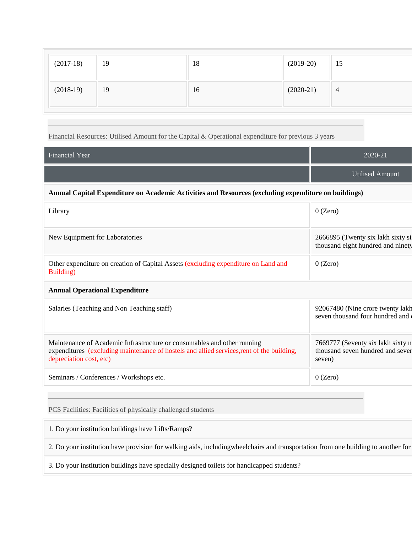| $(2017-18)$ | 19 | 18 | $(2019-20)$ | $\vert$ 15     |
|-------------|----|----|-------------|----------------|
| $(2018-19)$ | 19 | 16 | $(2020-21)$ | $\overline{4}$ |

#### Financial Resources: Utilised Amount for the Capital & Operational expenditure for previous 3 years

| Financial Year                                                                                                                                                                                  | 2020-21                                                                         |  |  |  |  |  |  |  |
|-------------------------------------------------------------------------------------------------------------------------------------------------------------------------------------------------|---------------------------------------------------------------------------------|--|--|--|--|--|--|--|
|                                                                                                                                                                                                 | <b>Utilised Amount</b>                                                          |  |  |  |  |  |  |  |
| Annual Capital Expenditure on Academic Activities and Resources (excluding expenditure on buildings)                                                                                            |                                                                                 |  |  |  |  |  |  |  |
| Library                                                                                                                                                                                         | $0$ (Zero)                                                                      |  |  |  |  |  |  |  |
| New Equipment for Laboratories                                                                                                                                                                  | 2666895 (Twenty six lakh sixty si<br>thousand eight hundred and ninety          |  |  |  |  |  |  |  |
| Other expenditure on creation of Capital Assets (excluding expenditure on Land and<br>Building)                                                                                                 | $0$ (Zero)                                                                      |  |  |  |  |  |  |  |
| <b>Annual Operational Expenditure</b>                                                                                                                                                           |                                                                                 |  |  |  |  |  |  |  |
| Salaries (Teaching and Non Teaching staff)                                                                                                                                                      | 92067480 (Nine crore twenty lakh<br>seven thousand four hundred and             |  |  |  |  |  |  |  |
| Maintenance of Academic Infrastructure or consumables and other running<br>expenditures (excluding maintenance of hostels and allied services, rent of the building,<br>depreciation cost, etc) | 7669777 (Seventy six lakh sixty n<br>thousand seven hundred and sever<br>seven) |  |  |  |  |  |  |  |
| Seminars / Conferences / Workshops etc.                                                                                                                                                         | $0$ (Zero)                                                                      |  |  |  |  |  |  |  |

PCS Facilities: Facilities of physically challenged students

1. Do your institution buildings have Lifts/Ramps?

2. Do your institution have provision for walking aids, includingwheelchairs and transportation from one building to another for

3. Do your institution buildings have specially designed toilets for handicapped students?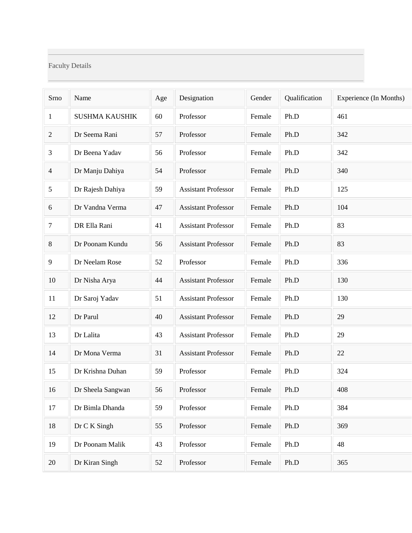### Faculty Details

| Srno           | Name                  | Age | Designation                | Gender | Qualification | Experience (In Months) |
|----------------|-----------------------|-----|----------------------------|--------|---------------|------------------------|
| $\mathbf{1}$   | <b>SUSHMA KAUSHIK</b> | 60  | Professor                  | Female | Ph.D          | 461                    |
| 2              | Dr Seema Rani         | 57  | Professor                  | Female | Ph.D          | 342                    |
| 3              | Dr Beena Yadav        | 56  | Professor                  | Female | Ph.D          | 342                    |
| $\overline{4}$ | Dr Manju Dahiya       | 54  | Professor                  | Female | Ph.D          | 340                    |
| 5              | Dr Rajesh Dahiya      | 59  | <b>Assistant Professor</b> | Female | Ph.D          | 125                    |
| 6              | Dr Vandna Verma       | 47  | <b>Assistant Professor</b> | Female | Ph.D          | 104                    |
| 7              | DR Ella Rani          | 41  | <b>Assistant Professor</b> | Female | Ph.D          | 83                     |
| 8              | Dr Poonam Kundu       | 56  | <b>Assistant Professor</b> | Female | Ph.D          | 83                     |
| 9              | Dr Neelam Rose        | 52  | Professor                  | Female | Ph.D          | 336                    |
| 10             | Dr Nisha Arya         | 44  | <b>Assistant Professor</b> | Female | Ph.D          | 130                    |
| 11             | Dr Saroj Yadav        | 51  | <b>Assistant Professor</b> | Female | Ph.D          | 130                    |
| 12             | Dr Parul              | 40  | <b>Assistant Professor</b> | Female | Ph.D          | 29                     |
| 13             | Dr Lalita             | 43  | <b>Assistant Professor</b> | Female | Ph.D          | 29                     |
| 14             | Dr Mona Verma         | 31  | <b>Assistant Professor</b> | Female | Ph.D          | 22                     |
| 15             | Dr Krishna Duhan      | 59  | Professor                  | Female | Ph.D          | 324                    |
| 16             | Dr Sheela Sangwan     | 56  | Professor                  | Female | Ph.D          | 408                    |
| 17             | Dr Bimla Dhanda       | 59  | Professor                  | Female | Ph.D          | 384                    |
| 18             | Dr C K Singh          | 55  | Professor                  | Female | Ph.D          | 369                    |
| 19             | Dr Poonam Malik       | 43  | Professor                  | Female | Ph.D          | 48                     |
| 20             | Dr Kiran Singh        | 52  | Professor                  | Female | Ph.D          | 365                    |